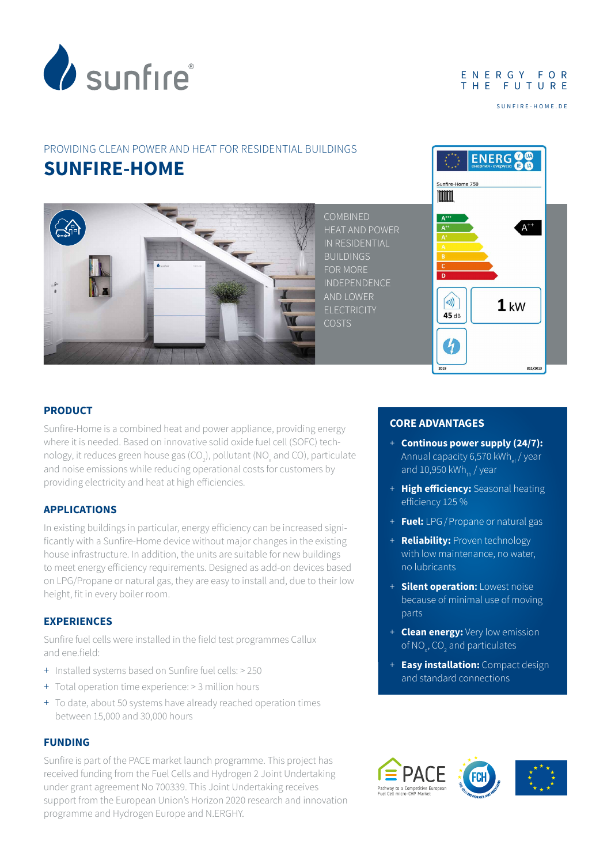

#### E N E R G Y F O R THE FUTURE

SUNFIRE-HOME.DE

## PROVIDING CLEAN POWER AND HEAT FOR RESIDENTIAL BUILDINGS **SUNFIRE-HOME**



COMBINED HEAT AND POWER IN RESIDENTIAL **BUILDINGS** FOR MORE INDEPENDENCE AND LOWER ELECTRICITY COSTS



#### **PRODUCT**

Sunfire-Home is a combined heat and power appliance, providing energy where it is needed. Based on innovative solid oxide fuel cell (SOFC) technology, it reduces green house gas (CO<sub>2</sub>), pollutant (NO<sub>x</sub> and CO), particulate and noise emissions while reducing operational costs for customers by providing electricity and heat at high efficiencies.

### **APPLICATIONS**

In existing buildings in particular, energy efficiency can be increased significantly with a Sunfire-Home device without major changes in the existing house infrastructure. In addition, the units are suitable for new buildings to meet energy efficiency requirements. Designed as add-on devices based on LPG/Propane or natural gas, they are easy to install and, due to their low height, fit in every boiler room.

#### **EXPERIENCES**

Sunfire fuel cells were installed in the field test programmes Callux and ene.field:

- + Installed systems based on Sunfire fuel cells: > 250
- + Total operation time experience: > 3 million hours
- + To date, about 50 systems have already reached operation times between 15,000 and 30,000 hours

#### **FUNDING**

Sunfire is part of the PACE market launch programme. This project has received funding from the Fuel Cells and Hydrogen 2 Joint Undertaking under grant agreement No 700339. This Joint Undertaking receives support from the European Union's Horizon 2020 research and innovation programme and Hydrogen Europe and N.ERGHY.

#### **CORE ADVANTAGES**

- + **Continous power supply (24/7):**  Annual capacity 6,570 kWh $_{el}$  / year and  $10,950$  kWh<sub>th</sub> / year
- + **High efficiency:** Seasonal heating efficiency 125 %
- + **Fuel:** LPG/Propane or natural gas
- + **Reliability:** Proven technology with low maintenance, no water, no lubricants
- + **Silent operation:** Lowest noise because of minimal use of moving parts
- + **Clean energy:** Very low emission of NO<sub>x</sub>, CO<sub>2</sub> and particulates
- + **Easy installation:** Compact design and standard connections